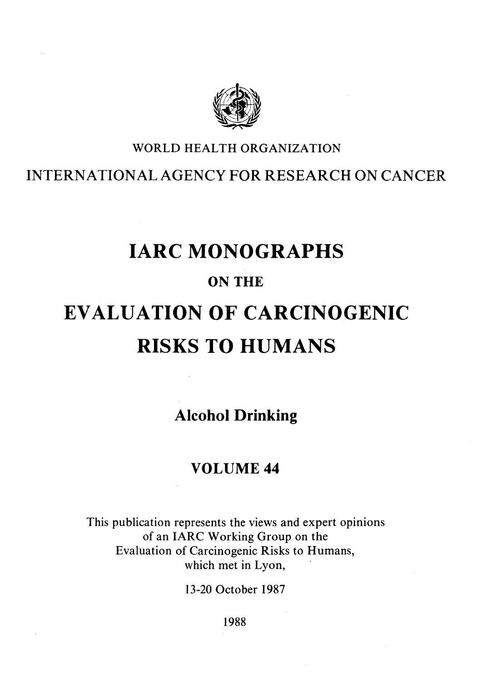

## WORLD HEALTH ORGANIZATION

# INTERNATIONALAGENCY FOR RESEARCH ON CANCER

# IARC MONOGRAPHS

# ON THE

# EVALUATION OF CARCINOGENIC RISKS TO HUMANS

Alcohol Drinking

# VOLUME 44

This publication represents the views and expert opinions of an IARC Working Group on the Evaluation of Carcinogenic Risks to Rumans, which met in Lyon,

13-20 October 1987

1988